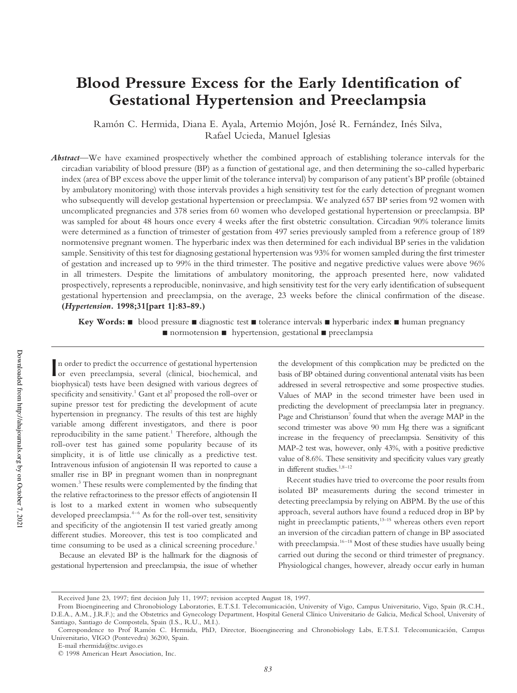# **Blood Pressure Excess for the Early Identification of Gestational Hypertension and Preeclampsia**

Ramón C. Hermida, Diana E. Ayala, Artemio Mojón, José R. Fernández, Inés Silva, Rafael Ucieda, Manuel Iglesias

*Abstract*—We have examined prospectively whether the combined approach of establishing tolerance intervals for the circadian variability of blood pressure (BP) as a function of gestational age, and then determining the so-called hyperbaric index (area of BP excess above the upper limit of the tolerance interval) by comparison of any patient's BP profile (obtained by ambulatory monitoring) with those intervals provides a high sensitivity test for the early detection of pregnant women who subsequently will develop gestational hypertension or preeclampsia. We analyzed 657 BP series from 92 women with uncomplicated pregnancies and 378 series from 60 women who developed gestational hypertension or preeclampsia. BP was sampled for about 48 hours once every 4 weeks after the first obstetric consultation. Circadian 90% tolerance limits were determined as a function of trimester of gestation from 497 series previously sampled from a reference group of 189 normotensive pregnant women. The hyperbaric index was then determined for each individual BP series in the validation sample. Sensitivity of this test for diagnosing gestational hypertension was 93% for women sampled during the first trimester of gestation and increased up to 99% in the third trimester. The positive and negative predictive values were above 96% in all trimesters. Despite the limitations of ambulatory monitoring, the approach presented here, now validated prospectively, represents a reproducible, noninvasive, and high sensitivity test for the very early identification of subsequent gestational hypertension and preeclampsia, on the average, 23 weeks before the clinical confirmation of the disease. **(***Hypertension***. 1998;31[part 1]:83-89.)**

**Key Words:** ■ blood pressure ■ diagnostic test ■ tolerance intervals ■ hyperbaric index ■ human pregnancy  $\blacksquare$  normotension  $\blacksquare$  hypertension, gestational  $\blacksquare$  preeclampsia

I n order to predict the occurrence of gestational hypertension or even preeclampsia, several (clinical, biochemical, and biophysical) tests have been designed with various degrees of specificity and sensitivity.<sup>1</sup> Gant et al<sup>2</sup> proposed the roll-over or supine pressor test for predicting the development of acute hypertension in pregnancy. The results of this test are highly variable among different investigators, and there is poor reproducibility in the same patient.<sup>1</sup> Therefore, although the roll-over test has gained some popularity because of its simplicity, it is of little use clinically as a predictive test. Intravenous infusion of angiotensin II was reported to cause a smaller rise in BP in pregnant women than in nonpregnant women.<sup>3</sup> These results were complemented by the finding that the relative refractoriness to the pressor effects of angiotensin II is lost to a marked extent in women who subsequently developed preeclampsia. $4-6$  As for the roll-over test, sensitivity and specificity of the angiotensin II test varied greatly among different studies. Moreover, this test is too complicated and time consuming to be used as a clinical screening procedure.<sup>1</sup>

Because an elevated BP is the hallmark for the diagnosis of gestational hypertension and preeclampsia, the issue of whether the development of this complication may be predicted on the basis of BP obtained during conventional antenatal visits has been addressed in several retrospective and some prospective studies. Values of MAP in the second trimester have been used in predicting the development of preeclampsia later in pregnancy. Page and Christianson<sup>7</sup> found that when the average MAP in the second trimester was above 90 mm Hg there was a significant increase in the frequency of preeclampsia. Sensitivity of this MAP-2 test was, however, only 43%, with a positive predictive value of 8.6%. These sensitivity and specificity values vary greatly in different studies.<sup>1,8–12</sup>

Recent studies have tried to overcome the poor results from isolated BP measurements during the second trimester in detecting preeclampsia by relying on ABPM. By the use of this approach, several authors have found a reduced drop in BP by night in preeclamptic patients,13–15 whereas others even report an inversion of the circadian pattern of change in BP associated with preeclampsia.<sup>16–18</sup> Most of these studies have usually being carried out during the second or third trimester of pregnancy. Physiological changes, however, already occur early in human

Received June 23, 1997; first decision July 11, 1997; revision accepted August 18, 1997.

From Bioengineering and Chronobiology Laboratories, E.T.S.I. Telecomunicación, University of Vigo, Campus Universitario, Vigo, Spain (R.C.H., D.E.A., A.M., J.R.F.); and the Obstetrics and Gynecology Department, Hospital General Clínico Universitario de Galicia, Medical School, University of Santiago, Santiago de Compostela, Spain (I.S., R.U., M.I.).

Correspondence to Prof Ramón C. Hermida, PhD, Director, Bioengineering and Chronobiology Labs, E.T.S.I. Telecomunicación, Campus Universitario, VIGO (Pontevedra) 36200, Spain.

E-mail rhermida@tsc.uvigo.es

<sup>© 1998</sup> American Heart Association, Inc.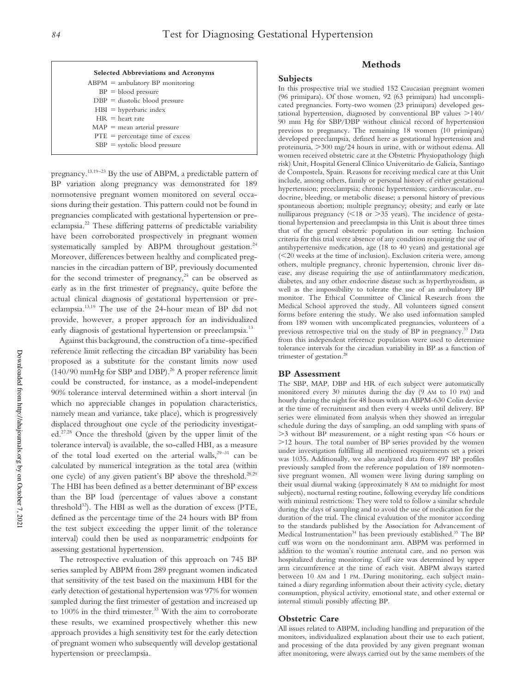| <b>Selected Abbreviations and Acronyms</b> |                                     |  |  |  |  |
|--------------------------------------------|-------------------------------------|--|--|--|--|
|                                            | $ABPM =$ ambulatory $BP$ monitoring |  |  |  |  |
|                                            | $BP = blood pressure$               |  |  |  |  |
|                                            | $DBP =$ diastolic blood pressure    |  |  |  |  |
|                                            | $HBI = hyperbaric index$            |  |  |  |  |
|                                            | $HR = heart$ rate                   |  |  |  |  |
|                                            | $MAP$ = mean arterial pressure      |  |  |  |  |
|                                            | $PTE = percentage time of excess$   |  |  |  |  |
|                                            | $SBP = systolic blood pressure$     |  |  |  |  |
|                                            |                                     |  |  |  |  |

pregnancy.13,19–23 By the use of ABPM, a predictable pattern of BP variation along pregnancy was demonstrated for 189 normotensive pregnant women monitored on several occasions during their gestation. This pattern could not be found in pregnancies complicated with gestational hypertension or preeclampsia.<sup>22</sup> These differing patterns of predictable variability have been corroborated prospectively in pregnant women systematically sampled by ABPM throughout gestation.<sup>24</sup> Moreover, differences between healthy and complicated pregnancies in the circadian pattern of BP, previously documented for the second trimester of pregnancy,<sup>25</sup> can be observed as early as in the first trimester of pregnancy, quite before the actual clinical diagnosis of gestational hypertension or preeclampsia.13,19 The use of the 24-hour mean of BP did not provide, however, a proper approach for an individualized early diagnosis of gestational hypertension or preeclampsia.<sup>13</sup>

Against this background, the construction of a time-specified reference limit reflecting the circadian BP variability has been proposed as a substitute for the constant limits now used  $(140/90 \text{ mmHg}$  for SBP and DBP).<sup>26</sup> A proper reference limit could be constructed, for instance, as a model-independent 90% tolerance interval determined within a short interval (in which no appreciable changes in population characteristics, namely mean and variance, take place), which is progressively displaced throughout one cycle of the periodicity investigat $ed.^{27,28}$  Once the threshold (given by the upper limit of the tolerance interval) is available, the so-called HBI, as a measure of the total load exerted on the arterial walls, $29-31$  can be calculated by numerical integration as the total area (within one cycle) of any given patient's BP above the threshold.<sup>28,29</sup> The HBI has been defined as a better determinant of BP excess than the BP load (percentage of values above a constant threshold<sup>32</sup>). The HBI as well as the duration of excess (PTE, defined as the percentage time of the 24 hours with BP from the test subject exceeding the upper limit of the tolerance interval) could then be used as nonparametric endpoints for assessing gestational hypertension.

The retrospective evaluation of this approach on 745 BP series sampled by ABPM from 289 pregnant women indicated that sensitivity of the test based on the maximum HBI for the early detection of gestational hypertension was 97% for women sampled during the first trimester of gestation and increased up to 100% in the third trimester.<sup>33</sup> With the aim to corroborate these results, we examined prospectively whether this new approach provides a high sensitivity test for the early detection of pregnant women who subsequently will develop gestational hypertension or preeclampsia.

# **Methods**

## **Subjects**

In this prospective trial we studied 152 Caucasian pregnant women (96 primipara). Of those women, 92 (63 primipara) had uncomplicated pregnancies. Forty-two women (23 primipara) developed gestational hypertension, diagnosed by conventional BP values  $>140/$ 90 mm Hg for SBP/DBP without clinical record of hypertension previous to pregnancy. The remaining 18 women (10 primipara) developed preeclampsia, defined here as gestational hypertension and proteinuria,  $>$  300 mg/24 hours in urine, with or without edema. All women received obstetric care at the Obstetric Physiopathology (high risk) Unit, Hospital General Clínico Universitario de Galicia, Santiago de Compostela, Spain. Reasons for receiving medical care at this Unit include, among others, family or personal history of either gestational hypertension; preeclampsia; chronic hypertension; cardiovascular, endocrine, bleeding, or metabolic disease; a personal history of previous spontaneous abortion; multiple pregnancy; obesity; and early or late nulliparous pregnancy ( $\leq 18$  or  $\geq 35$  years). The incidence of gestational hypertension and preeclampsia in this Unit is about three times that of the general obstetric population in our setting. Inclusion criteria for this trial were absence of any condition requiring the use of antihypertensive medication, age (18 to 40 years) and gestational age  $(<$ 20 weeks at the time of inclusion). Exclusion criteria were, among others, multiple pregnancy, chronic hypertension, chronic liver disease, any disease requiring the use of antiinflammatory medication, diabetes, and any other endocrine disease such as hyperthyroidism, as well as the impossibility to tolerate the use of an ambulatory BP monitor. The Ethical Committee of Clinical Research from the Medical School approved the study. All volunteers signed consent forms before entering the study. We also used information sampled from 189 women with uncomplicated pregnancies, volunteers of a previous retrospective trial on the study of BP in pregnancy.<sup>33</sup> Data from this independent reference population were used to determine tolerance intervals for the circadian variability in BP as a function of trimester of gestation.<sup>28</sup>

#### **BP Assessment**

The SBP, MAP, DBP and HR of each subject were automatically monitored every 30 minutes during the day (9 AM to 10 PM) and hourly during the night for 48 hours with an ABPM-630 Colin device at the time of recruitment and then every 4 weeks until delivery. BP series were eliminated from analysis when they showed an irregular schedule during the days of sampling, an odd sampling with spans of  $>$ 3 without BP measurement, or a night resting span  $<$ 6 hours or .12 hours. The total number of BP series provided by the women under investigation fulfilling all mentioned requirements set a priori was 1035. Additionally, we also analyzed data from 497 BP profiles previously sampled from the reference population of 189 normotensive pregnant women. All women were living during sampling on their usual diurnal waking (approximately 8 AM to midnight for most subjects), nocturnal resting routine, following everyday life conditions with minimal restrictions: They were told to follow a similar schedule during the days of sampling and to avoid the use of medication for the duration of the trial. The clinical evaluation of the monitor according to the standards published by the Association for Advancement of Medical Instrumentation<sup>34</sup> has been previously established.<sup>35</sup> The BP cuff was worn on the nondominant arm. ABPM was performed in addition to the woman's routine antenatal care, and no person was hospitalized during monitoring. Cuff size was determined by upper arm circumference at the time of each visit. ABPM always started between 10 AM and 1 PM. During monitoring, each subject maintained a diary regarding information about their activity cycle, dietary consumption, physical activity, emotional state, and other external or internal stimuli possibly affecting BP.

## **Obstetric Care**

All issues related to ABPM, including handling and preparation of the monitors, individualized explanation about their use to each patient, and processing of the data provided by any given pregnant woman after monitoring, were always carried out by the same members of the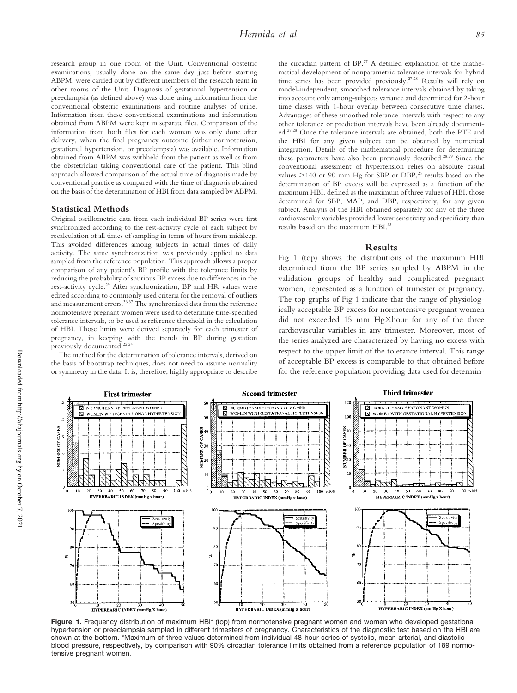research group in one room of the Unit. Conventional obstetric examinations, usually done on the same day just before starting ABPM, were carried out by different members of the research team in other rooms of the Unit. Diagnosis of gestational hypertension or preeclampsia (as defined above) was done using information from the conventional obstetric examinations and routine analyses of urine. Information from these conventional examinations and information obtained from ABPM were kept in separate files. Comparison of the information from both files for each woman was only done after delivery, when the final pregnancy outcome (either normotension, gestational hypertension, or preeclampsia) was available. Information obtained from ABPM was withheld from the patient as well as from the obstetrician taking conventional care of the patient. This blind approach allowed comparison of the actual time of diagnosis made by conventional practice as compared with the time of diagnosis obtained on the basis of the determination of HBI from data sampled by ABPM.

#### **Statistical Methods**

Original oscillometric data from each individual BP series were first synchronized according to the rest-activity cycle of each subject by recalculation of all times of sampling in terms of hours from midsleep. This avoided differences among subjects in actual times of daily activity. The same synchronization was previously applied to data sampled from the reference population. This approach allows a proper comparison of any patient's BP profile with the tolerance limits by reducing the probability of spurious BP excess due to differences in the rest-activity cycle.<sup>29</sup> After synchronization, BP and HR values were edited according to commonly used criteria for the removal of outliers and measurement errors.<sup>36,37</sup> The synchronized data from the reference normotensive pregnant women were used to determine time-specified tolerance intervals, to be used as reference threshold in the calculation of HBI. Those limits were derived separately for each trimester of pregnancy, in keeping with the trends in BP during gestation previously documented.<sup>22,24</sup>

The method for the determination of tolerance intervals, derived on the basis of bootstrap techniques, does not need to assume normality or symmetry in the data. It is, therefore, highly appropriate to describe the circadian pattern of BP.<sup>27</sup> A detailed explanation of the mathematical development of nonparametric tolerance intervals for hybrid time series has been provided previously.<sup>27,28</sup> Results will rely on model-independent, smoothed tolerance intervals obtained by taking into account only among-subjects variance and determined for 2-hour time classes with 1-hour overlap between consecutive time classes. Advantages of these smoothed tolerance intervals with respect to any other tolerance or prediction intervals have been already documented.27,28 Once the tolerance intervals are obtained, both the PTE and the HBI for any given subject can be obtained by numerical integration. Details of the mathematical procedure for determining these parameters have also been previously described.28,29 Since the conventional assessment of hypertension relies on absolute casual values  $>140$  or 90 mm Hg for SBP or DBP,<sup>26</sup> results based on the determination of BP excess will be expressed as a function of the maximum HBI, defined as the maximum of three values of HBI, those determined for SBP, MAP, and DBP, respectively, for any given subject. Analysis of the HBI obtained separately for any of the three cardiovascular variables provided lower sensitivity and specificity than results based on the maximum HBI.<sup>32</sup>

### **Results**

Fig 1 (top) shows the distributions of the maximum HBI determined from the BP series sampled by ABPM in the validation groups of healthy and complicated pregnant women, represented as a function of trimester of pregnancy. The top graphs of Fig 1 indicate that the range of physiologically acceptable BP excess for normotensive pregnant women did not exceeded 15 mm  $Hg\times$ hour for any of the three cardiovascular variables in any trimester. Moreover, most of the series analyzed are characterized by having no excess with respect to the upper limit of the tolerance interval. This range of acceptable BP excess is comparable to that obtained before for the reference population providing data used for determin-



Figure 1. Frequency distribution of maximum HBI<sup>\*</sup> (top) from normotensive pregnant women and women who developed gestational hypertension or preeclampsia sampled in different trimesters of pregnancy. Characteristics of the diagnostic test based on the HBI are shown at the bottom. \*Maximum of three values determined from individual 48-hour series of systolic, mean arterial, and diastolic blood pressure, respectively, by comparison with 90% circadian tolerance limits obtained from a reference population of 189 normotensive pregnant women.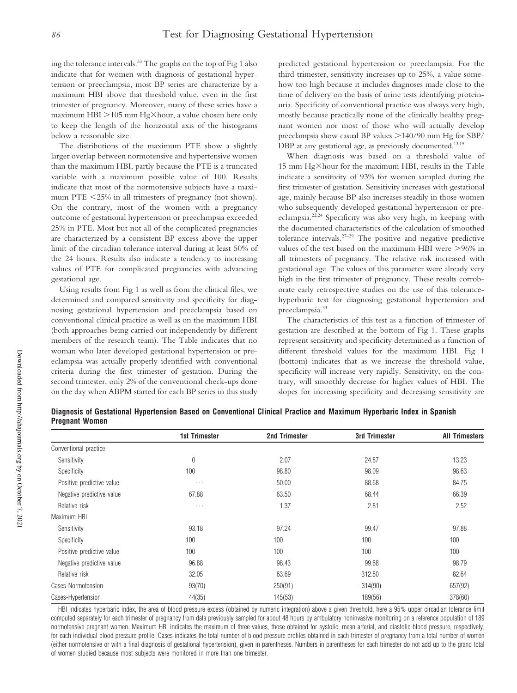ing the tolerance intervals.<sup>33</sup> The graphs on the top of Fig 1 also indicate that for women with diagnosis of gestational hypertension or preeclampsia, most BP series are characterize by a maximum HBI above that threshold value, even in the first trimester of pregnancy. Moreover, many of these series have a maximum HBI  $>$ 105 mm Hg $\times$ hour, a value chosen here only to keep the length of the horizontal axis of the histograms below a reasonable size.

The distributions of the maximum PTE show a slightly larger overlap between normotensive and hypertensive women than the maximum HBI, partly because the PTE is a truncated variable with a maximum possible value of 100. Results indicate that most of the normotensive subjects have a maximum PTE  $<$  25% in all trimesters of pregnancy (not shown). On the contrary, most of the women with a pregnancy outcome of gestational hypertension or preeclampsia exceeded 25% in PTE. Most but not all of the complicated pregnancies are characterized by a consistent BP excess above the upper limit of the circadian tolerance interval during at least 50% of the 24 hours. Results also indicate a tendency to increasing values of PTE for complicated pregnancies with advancing gestational age.

Using results from Fig 1 as well as from the clinical files, we determined and compared sensitivity and specificity for diagnosing gestational hypertension and preeclampsia based on conventional clinical practice as well as on the maximum HBI (both approaches being carried out independently by different members of the research team). The Table indicates that no woman who later developed gestational hypertension or preeclampsia was actually properly identified with conventional criteria during the first trimester of gestation. During the second trimester, only 2% of the conventional check-ups done on the day when ABPM started for each BP series in this study predicted gestational hypertension or preeclampsia. For the third trimester, sensitivity increases up to 25%, a value somehow too high because it includes diagnoses made close to the time of delivery on the basis of urine tests identifying proteinuria. Specificity of conventional practice was always very high, mostly because practically none of the clinically healthy pregnant women nor most of those who will actually develop preeclampsia show casual BP values  $>140/90$  mm Hg for SBP/ DBP at any gestational age, as previously documented.<sup>13,19</sup>

When diagnosis was based on a threshold value of 15 mm Hg×hour for the maximum HBI, results in the Table indicate a sensitivity of 93% for women sampled during the first trimester of gestation. Sensitivity increases with gestational age, mainly because BP also increases steadily in those women who subsequently developed gestational hypertension or preeclampsia.<sup>22,24</sup> Specificity was also very high, in keeping with the documented characteristics of the calculation of smoothed tolerance intervals.<sup>27–29</sup> The positive and negative predictive values of the test based on the maximum HBI were >96% in all trimesters of pregnancy. The relative risk increased with gestational age. The values of this parameter were already very high in the first trimester of pregnancy. These results corroborate early retrospective studies on the use of this tolerancehyperbaric test for diagnosing gestational hypertension and preeclampsia.<sup>33</sup>

The characteristics of this test as a function of trimester of gestation are described at the bottom of Fig 1. These graphs represent sensitivity and specificity determined as a function of different threshold values for the maximum HBI. Fig 1 (bottom) indicates that as we increase the threshold value, specificity will increase very rapidly. Sensitivity, on the contrary, will smoothly decrease for higher values of HBI. The slopes for increasing specificity and decreasing sensitivity are

**Diagnosis of Gestational Hypertension Based on Conventional Clinical Practice and Maximum Hyperbaric Index in Spanish Pregnant Women**

|                           | <b>1st Trimester</b> | 2nd Trimester | 3rd Trimester | <b>All Trimesters</b> |
|---------------------------|----------------------|---------------|---------------|-----------------------|
| Conventional practice     |                      |               |               |                       |
| Sensitivity               | $\theta$             | 2.07          | 24.87         | 13.23                 |
| Specificity               | 100                  | 98.80         | 98.09         | 98.63                 |
| Positive predictive value | $\sim$ $\sim$ $\sim$ | 50.00         | 88.68         | 84.75                 |
| Negative predictive value | 67.88                | 63.50         | 68.44         | 66.39                 |
| Relative risk             | $\sim$ $\sim$ $\sim$ | 1.37          | 2.81          | 2.52                  |
| Maximum HBI               |                      |               |               |                       |
| Sensitivity               | 93.18                | 97.24         | 99.47         | 97.88                 |
| Specificity               | 100                  | 100           | 100           | 100                   |
| Positive predictive value | 100                  | 100           | 100           | 100                   |
| Negative predictive value | 96.88                | 98.43         | 99.68         | 98.79                 |
| Relative risk             | 32.05                | 63.69         | 312.50        | 82.64                 |
| Cases-Normotension        | 93(70)               | 250(91)       | 314(90)       | 657(92)               |
| Cases-Hypertension        | 44(35)               | 145(53)       | 189(56)       | 378(60)               |

HBI indicates hyperbaric index, the area of blood pressure excess (obtained by numeric integration) above a given threshold, here a 95% upper circadian tolerance limit computed separately for each trimester of pregnancy from data previously sampled for about 48 hours by ambulatory noninvasive monitoring on a reference population of 189 normotensive pregnant women. Maximum HBI indicates the maximum of three values, those obtained for systolic, mean arterial, and diastolic blood pressure, respectively, for each individual blood pressure profile. Cases indicates the total number of blood pressure profiles obtained in each trimester of pregnancy from a total number of women (either normotensive or with a final diagnosis of gestational hypertension), given in parentheses. Numbers in parentheses for each trimester do not add up to the grand total of women studied because most subjects were monitored in more than one trimester.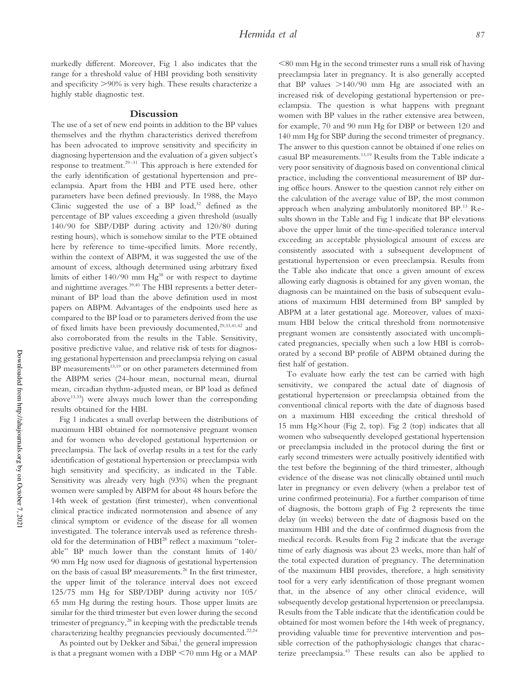markedly different. Moreover, Fig 1 also indicates that the range for a threshold value of HBI providing both sensitivity and specificity  $>90\%$  is very high. These results characterize a highly stable diagnostic test.

#### **Discussion**

The use of a set of new end points in addition to the BP values themselves and the rhythm characteristics derived therefrom has been advocated to improve sensitivity and specificity in diagnosing hypertension and the evaluation of a given subject's response to treatment.<sup>29-31</sup> This approach is here extended for the early identification of gestational hypertension and preeclampsia. Apart from the HBI and PTE used here, other parameters have been defined previously. In 1988, the Mayo Clinic suggested the use of a BP load, $32$  defined as the percentage of BP values exceeding a given threshold (usually 140/90 for SBP/DBP during activity and 120/80 during resting hours), which is somehow similar to the PTE obtained here by reference to time-specified limits. More recently, within the context of ABPM, it was suggested the use of the amount of excess, although determined using arbitrary fixed limits of either  $140/90$  mm  $Hg^{38}$  or with respect to daytime and nighttime averages.<sup>39,40</sup> The HBI represents a better determinant of BP load than the above definition used in most papers on ABPM. Advantages of the endpoints used here as compared to the BP load or to parameters derived from the use of fixed limits have been previously documented,<sup>29,33,41,42</sup> and also corroborated from the results in the Table. Sensitivity, positive predictive value, and relative risk of tests for diagnosing gestational hypertension and preeclampsia relying on casual BP measurements<sup>13,19</sup> or on other parameters determined from the ABPM series (24-hour mean, nocturnal mean, diurnal mean, circadian rhythm-adjusted mean, or BP load as defined above $(13,33)$  were always much lower than the corresponding results obtained for the HBI.

Fig 1 indicates a small overlap between the distributions of maximum HBI obtained for normotensive pregnant women and for women who developed gestational hypertension or preeclampsia. The lack of overlap results in a test for the early identification of gestational hypertension or preeclampsia with high sensitivity and specificity, as indicated in the Table. Sensitivity was already very high (93%) when the pregnant women were sampled by ABPM for about 48 hours before the 14th week of gestation (first trimester), when conventional clinical practice indicated normotension and absence of any clinical symptom or evidence of the disease for all women investigated. The tolerance intervals used as reference threshold for the determination of HBI<sup>28</sup> reflect a maximum "tolerable" BP much lower than the constant limits of 140/ 90 mm Hg now used for diagnosis of gestational hypertension on the basis of casual BP measurements.<sup>26</sup> In the first trimester, the upper limit of the tolerance interval does not exceed 125/75 mm Hg for SBP/DBP during activity nor 105/ 65 mm Hg during the resting hours. Those upper limits are similar for the third trimester but even lower during the second trimester of pregnancy, $^{28}$  in keeping with the predictable trends characterizing healthy pregnancies previously documented.<sup>22,24</sup>

As pointed out by Dekker and Sibai,<sup>1</sup> the general impression is that a pregnant women with a  $DBP < 70$  mm Hg or a MAP

 $<$ 80 mm Hg in the second trimester runs a small risk of having preeclampsia later in pregnancy. It is also generally accepted that BP values  $>140/90$  mm Hg are associated with an increased risk of developing gestational hypertension or preeclampsia. The question is what happens with pregnant women with BP values in the rather extensive area between, for example, 70 and 90 mm Hg for DBP or between 120 and 140 mm Hg for SBP during the second trimester of pregnancy. The answer to this question cannot be obtained if one relies on casual BP measurements.13,19 Results from the Table indicate a very poor sensitivity of diagnosis based on conventional clinical practice, including the conventional measurement of BP during office hours. Answer to the question cannot rely either on the calculation of the average value of BP, the most common approach when analyzing ambulatorily monitored BP.<sup>13</sup> Results shown in the Table and Fig 1 indicate that BP elevations above the upper limit of the time-specified tolerance interval exceeding an acceptable physiological amount of excess are consistently associated with a subsequent development of gestational hypertension or even preeclampsia. Results from the Table also indicate that once a given amount of excess allowing early diagnosis is obtained for any given woman, the diagnosis can be maintained on the basis of subsequent evaluations of maximum HBI determined from BP sampled by ABPM at a later gestational age. Moreover, values of maximum HBI below the critical threshold from normotensive pregnant women are consistently associated with uncomplicated pregnancies, specially when such a low HBI is corroborated by a second BP profile of ABPM obtained during the first half of gestation.

To evaluate how early the test can be carried with high sensitivity, we compared the actual date of diagnosis of gestational hypertension or preeclampsia obtained from the conventional clinical reports with the date of diagnosis based on a maximum HBI exceeding the critical threshold of 15 mm Hg $\times$ hour (Fig 2, top). Fig 2 (top) indicates that all women who subsequently developed gestational hypertension or preeclampsia included in the protocol during the first or early second trimesters were actually positively identified with the test before the beginning of the third trimester, although evidence of the disease was not clinically obtained until much later in pregnancy or even delivery (when a prelabor test of urine confirmed proteinuria). For a further comparison of time of diagnosis, the bottom graph of Fig 2 represents the time delay (in weeks) between the date of diagnosis based on the maximum HBI and the date of confirmed diagnosis from the medical records. Results from Fig 2 indicate that the average time of early diagnosis was about 23 weeks, more than half of the total expected duration of pregnancy. The determination of the maximum HBI provides, therefore, a high sensitivity tool for a very early identification of those pregnant women that, in the absence of any other clinical evidence, will subsequently develop gestational hypertension or preeclampsia. Results from the Table indicate that the identification could be obtained for most women before the 14th week of pregnancy, providing valuable time for preventive intervention and possible correction of the pathophysiologic changes that characterize preeclampsia.<sup>43</sup> These results can also be applied to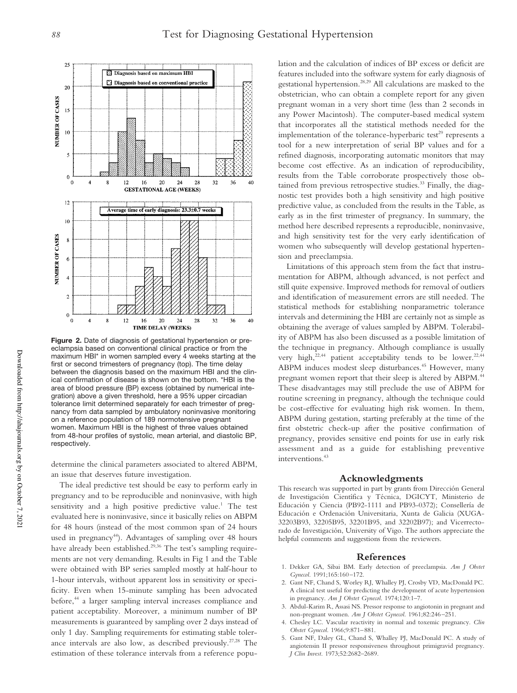

Diagnosis based on maximum HBI

**Figure 2.** Date of diagnosis of gestational hypertension or preeclampsia based on conventional clinical practice or from the maximum HBI\* in women sampled every 4 weeks starting at the first or second trimesters of pregnancy (top). The time delay between the diagnosis based on the maximum HBI and the clinical confirmation of disease is shown on the bottom. \*HBI is the area of blood pressure (BP) excess (obtained by numerical integration) above a given threshold, here a 95% upper circadian tolerance limit determined separately for each trimester of pregnancy from data sampled by ambulatory noninvasive monitoring on a reference population of 189 normotensive pregnant women. Maximum HBI is the highest of three values obtained from 48-hour profiles of systolic, mean arterial, and diastolic BP, respectively.

determine the clinical parameters associated to altered ABPM, an issue that deserves future investigation.

The ideal predictive test should be easy to perform early in pregnancy and to be reproducible and noninvasive, with high sensitivity and a high positive predictive value.<sup>1</sup> The test evaluated here is noninvasive, since it basically relies on ABPM for 48 hours (instead of the most common span of 24 hours used in pregnancy<sup>44</sup>). Advantages of sampling over 48 hours have already been established.<sup>29,36</sup> The test's sampling requirements are not very demanding. Results in Fig 1 and the Table were obtained with BP series sampled mostly at half-hour to 1-hour intervals, without apparent loss in sensitivity or specificity. Even when 15-minute sampling has been advocated before,<sup>44</sup> a larger sampling interval increases compliance and patient acceptability. Moreover, a minimum number of BP measurements is guaranteed by sampling over 2 days instead of only 1 day. Sampling requirements for estimating stable tolerance intervals are also low, as described previously.<sup>27,28</sup> The estimation of these tolerance intervals from a reference population and the calculation of indices of BP excess or deficit are features included into the software system for early diagnosis of gestational hypertension.28,29 All calculations are masked to the obstetrician, who can obtain a complete report for any given pregnant woman in a very short time (less than 2 seconds in any Power Macintosh). The computer-based medical system that incorporates all the statistical methods needed for the implementation of the tolerance-hyperbaric test<sup>29</sup> represents a tool for a new interpretation of serial BP values and for a refined diagnosis, incorporating automatic monitors that may become cost effective. As an indication of reproducibility, results from the Table corroborate prospectively those obtained from previous retrospective studies.<sup>33</sup> Finally, the diagnostic test provides both a high sensitivity and high positive predictive value, as concluded from the results in the Table, as early as in the first trimester of pregnancy. In summary, the method here described represents a reproducible, noninvasive, and high sensitivity test for the very early identification of women who subsequently will develop gestational hypertension and preeclampsia.

Limitations of this approach stem from the fact that instrumentation for ABPM, although advanced, is not perfect and still quite expensive. Improved methods for removal of outliers and identification of measurement errors are still needed. The statistical methods for establishing nonparametric tolerance intervals and determining the HBI are certainly not as simple as obtaining the average of values sampled by ABPM. Tolerability of ABPM has also been discussed as a possible limitation of the technique in pregnancy. Although compliance is usually very high, $22,44$  patient acceptability tends to be lower. $22,44$ ABPM induces modest sleep disturbances.<sup>45</sup> However, many pregnant women report that their sleep is altered by ABPM.<sup>44</sup> These disadvantages may still preclude the use of ABPM for routine screening in pregnancy, although the technique could be cost-effective for evaluating high risk women. In them, ABPM during gestation, starting preferably at the time of the first obstetric check-up after the positive confirmation of pregnancy, provides sensitive end points for use in early risk assessment and as a guide for establishing preventive interventions.<sup>43</sup>

#### **Acknowledgments**

This research was supported in part by grants from Dirección General de Investigación Científica y Técnica, DGICYT, Ministerio de Educación y Ciencia (PB92-1111 and PB93-0372); Consellería de Educación e Ordenación Universitaria, Xunta de Galicia (XUGA-32203B93, 32205B95, 32201B95, and 32202B97); and Vicerrectorado de Investigación, University of Vigo. The authors appreciate the helpful comments and suggestions from the reviewers.

#### **References**

- 1. Dekker GA, Sibai BM. Early detection of preeclampsia. *Am J Obstet Gynecol*. 1991;165:160–172.
- 2. Gant NF, Chand S, Worley RJ, Whalley PJ, Crosby VD, MacDonald PC. A clinical test useful for predicting the development of acute hypertension in pregnancy. *Am J Obstet Gynecol*. 1974;120:1–7.
- 3. Abdul-Karim R, Assasi NS. Pressor response to angiotonin in pregnant and non-pregnant women. *Am J Obstet Gynecol*. 1961;82:246–251.
- 4. Chesley LC. Vascular reactivity in normal and toxemic pregnancy. *Clin Obstet Gynecol*. 1966;9:871–881.
- 5. Gant NF, Daley GL, Chand S, Whalley PJ, MacDonald PC. A study of angiotensin II pressor responsiveness throughout primigravid pregnancy. *J Clin Invest*. 1973;52:2682–2689.

25